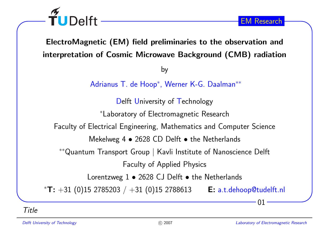ElectroMagnetic (EM) field preliminaries to the observation andinterpretation of Cosmic Microwave Background (CMB) radiation

by

Adrianus T. de Hoop<sup>∗</sup>, Werner K-G. Daalman∗∗

Delft University of Technology

<sup>∗</sup>Laboratory of Electromagnetic Research

Faculty of Electrical Engineering, Mathematics and Computer Science

Mekelweg 4  $\bullet$  2628 CD Delft  $\bullet$  the Netherlands

∗∗Quantum Transport Group | Kavli Institute of Nanoscience Delft

Faculty of Applied Physics

Lorentzweg  $1\bullet 2628$  CJ Delft  $\bullet$  the Netherlands

\* $\textsf{T: +31}~ (0)15~2785203~/~+31~(0)15~2788613$   $\textsf{E: a.t. dehoop@tudelft.nl}$ 

Title

TUDelft

01

EM Research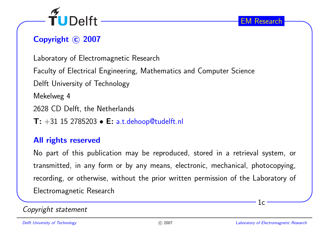

# Copyright © 2007

Laboratory of Electromagnetic Research

Faculty of Electrical Engineering, Mathematics and Computer Science

Delft University of Technology

Mekelweg <sup>4</sup>

<sup>2628</sup> CD Delft, the Netherlands

 $\textsf{T: +31\ 15\ 2785203}\bullet \textsf{E: a.t. dehoop@tudelft.nl}$ 

#### All rights reserved

No part of this publication may be reproduced, stored in <sup>a</sup> retrieval system, ortransmitted, in any form or by any means, electronic, mechanical, <sup>p</sup>hotocopying, recording, or otherwise, without the prior written permission of the Laboratory of Electromagnetic Research

#### Copyright statement

 $1c$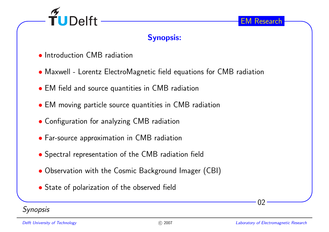

### Synopsis:

- Introduction CMB radiation
- Maxwell Lorentz ElectroMagnetic field equations for CMB radiation
- EM field and source quantities in CMB radiation
- EM moving particle source quantities in CMB radiation
- Configuration for analyzing CMB radiation
- Far-source approximation in CMB radiation
- Spectral representation of the CMB radiation field
- Observation with the Cosmic Background Imager (CBI)
- State of polarization of the observed field

**Synopsis** 

02

EM Research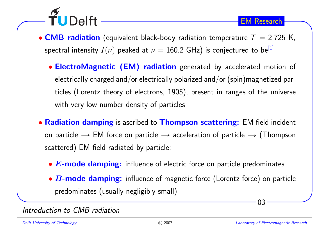

- ElectroMagnetic (EM) radiation generated by accelerated motion of electrically charged and/or electrically polarized and/or (spin)magnetized particles (Lorentz theory of electrons, 1905), present in ranges of the universewith very low number density of particles
- $\bullet$  Radiation damping is ascribed to Thompson scattering: EM field incident on particle  $\rightarrow$  EM force on particle  $\rightarrow$  acceleration of particle  $\rightarrow$  (Thompson<br>sectional) EM field wellated be marticles scattered) EM field radiated by particle:
	- $\bullet$   $\bm{E}\text{-}\textbf{mode}$  damping: influence of electric force on particle predominates
	- $\bullet$   $\bm{B}\text{-}\textbf{mode}$  damping: influence of magnetic force (Lorentz force) on particle predominates (usually negligibly small)

#### Introduction to CMB radiation

TUDelft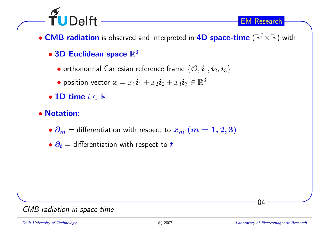

- $\bullet$  CMB radiation is observed and interpreted in 4D space-time  $(\mathbb{R}^3{\times}\mathbb{R})$  with
	- $\bullet$  3D Euclidean space  $\mathbb{R}^3$ 
		- $\bullet$  orthonormal Cartesian reference frame  $\{\mathcal{O},\bm{i}_1,\bm{i}_2,\bm{i}_3\}$
		- $\bullet$  position vector  $\boldsymbol{x} = x_1\boldsymbol{i}_1 + x_2\boldsymbol{i}_2 + x_3\boldsymbol{i}_3 \in \mathbb{R}^3$
	- 1D time  $t \in \mathbb{R}$
- Notation:
	- $\bullet$   $\partial_m =$  differentiation with respect to  $x_m$   $(m = 1, 2, 3)$
	- $\bullet$   $\partial_t$   $=$  differentiation with respect to  $t$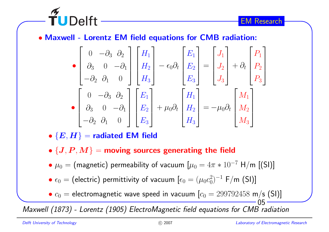

$$
\begin{bmatrix}\n0 & -\partial_3 & \partial_2 \\
\partial_3 & 0 & -\partial_1 \\
-\partial_2 & \partial_1 & 0\n\end{bmatrix}\n\begin{bmatrix}\nH_1 \\
H_2 \\
H_3\n\end{bmatrix} - \epsilon_0 \partial_t\n\begin{bmatrix}\nE_1 \\
E_2 \\
E_3\n\end{bmatrix} =\n\begin{bmatrix}\nJ_1 \\
J_2 \\
J_3\n\end{bmatrix} + \partial_t\n\begin{bmatrix}\nP_1 \\
P_2 \\
P_3\n\end{bmatrix}
$$
\n
$$
\begin{bmatrix}\n0 & -\partial_3 & \partial_2 \\
\partial_3 & 0 & -\partial_1 \\
-\partial_2 & \partial_1 & 0\n\end{bmatrix}\n\begin{bmatrix}\nE_1 \\
E_2 \\
E_3\n\end{bmatrix} + \mu_0 \partial_t\n\begin{bmatrix}\nH_1 \\
H_2 \\
H_3\n\end{bmatrix} = -\mu_0 \partial_t\n\begin{bmatrix}\nM_1 \\
M_2 \\
M_3\n\end{bmatrix}
$$

 $\bullet\ {\{\bm E, \bm H\}} =$  radiated EM field

**TUDelft** 

- $\bullet$   $\{\boldsymbol{J},\boldsymbol{P},\boldsymbol{M}\}$   $=$  moving sources generating the field
- $\bullet$   $\mu_0 =$  (magnetic) permeability of vacuum  $[\mu_0 = 4\pi * 10^{-7}$   $\textsf{H}/\textsf{m}$  [(SI)]

 $\bullet$   $\epsilon_0 =$  (electric) permittivity of vacuum  $[\epsilon_0 = (\mu_0 c_0^2)^{-1}$  F/m (SI)]

 $\bullet$   $c_0$  = electromagnetic wave speed in vacuum  $\left[c_0 = 299792458$  m/s (SI)]

Maxwell (1873) - Lorentz (1905) ElectroMagnetic field equations for CMB radiation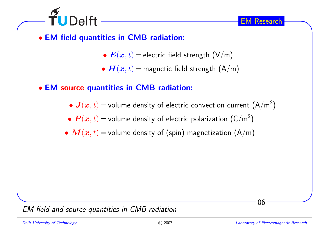

- EM field quantities in CMB radiation:
	- $\bullet \textbf{\textit{E}}(\textbf{\textit{x}},t) =$  electric field strength  $(\mathsf{V}/\mathsf{m})$
	- $\bullet$   $\boldsymbol{H}(\boldsymbol{x},t)$   $=$  magnetic field strength  $(\mathsf{A}/\mathsf{m})$
- EM source quantities in CMB radiation:
	- $\bullet$   $\bm{J}(\bm{x},t)$   $=$  volume density of electric convection current  $\left({\mathsf{A}}/{{\mathsf{m}}}^2\right)$
	- $\bullet$   $\bm{P}(\bm{x},t)$   $=$  volume density of electric polarization  $(\mathsf{C}/\mathsf{m}^2)$
	- $\bullet \ \bm{M}(\bm{x},t)$   $=$  volume density of (spin) magnetization  $(\mathsf{A}/\mathsf{m})$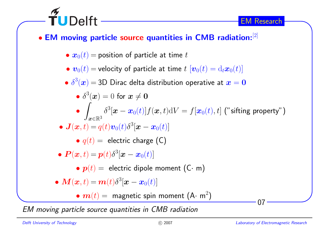

EM moving particle source quantities in CMB radiation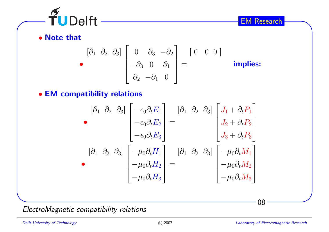

• Note that

$$
\begin{bmatrix}\n\partial_1 & \partial_2 & \partial_3\n\end{bmatrix}\n\begin{bmatrix}\n0 & \partial_3 & -\partial_2 \\
-\partial_3 & 0 & \partial_1 \\
\partial_2 & -\partial_1 & 0\n\end{bmatrix} =\n\begin{bmatrix}\n0 & 0 & 0\n\end{bmatrix}
$$
 implies:

• EM compatibility relations

$$
\begin{bmatrix}\n\partial_1 & \partial_2 & \partial_3\n\end{bmatrix}\n\begin{bmatrix}\n-\epsilon_0 \partial_t E_1 \\
-\epsilon_0 \partial_t E_2 \\
-\epsilon_0 \partial_t E_3\n\end{bmatrix} =\n\begin{bmatrix}\n\partial_1 & \partial_2 & \partial_3\n\end{bmatrix}\n\begin{bmatrix}\nJ_1 + \partial_t P_1 \\
J_2 + \partial_t P_2 \\
J_3 + \partial_t P_3\n\end{bmatrix}
$$
\n
$$
\begin{bmatrix}\n\partial_1 & \partial_2 & \partial_3\n\end{bmatrix}\n\begin{bmatrix}\n-\mu_0 \partial_t H_1 \\
-\mu_0 \partial_t H_2 \\
-\mu_0 \partial_t H_3\n\end{bmatrix} =\n\begin{bmatrix}\n\partial_1 & \partial_2 & \partial_3\n\end{bmatrix}\n\begin{bmatrix}\n-\mu_0 \partial_t M_1 \\
-\mu_0 \partial_t M_2 \\
-\mu_0 \partial_t M_3\n\end{bmatrix}
$$

ElectroMagnetic compatibility relations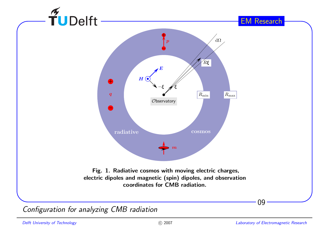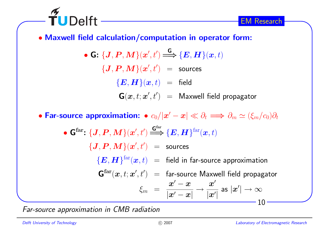

• Maxwell field calculation/computation in operator form:

• G:  $\{J, P, M\}(\boldsymbol{x}', t') \stackrel{\mathsf{G}}{\Longrightarrow} \{E, H\}(\boldsymbol{x}, t)$  $\{\boldsymbol{J},\boldsymbol{P},\boldsymbol{M}\}(\boldsymbol{x}',t')\;\;=\;\;$  sources  $\{E, H\}(\bm{x}, t)$  = field  $\mathbf{G}(\bm{x},t;\bm{x}',t') \;\;=\;\; \mathsf{Maxwell} \,\,\mathsf{field} \,\, \mathsf{propagator}$ 

• Far-source approximation: •  $c_0/|{\bm x}'-{\bm x}| \ll \partial_t \Longrightarrow \partial_m \simeq (\xi_m/c_0) \partial_t$ • $\bullet$  G<sup>far</sup>:  $\{$ **J**, **P**, **M**} $(x', t') \stackrel{\text{G}^{\text{far}}}{\Longrightarrow}$   $\{$ **E**, **H** $\}$ <sup>far</sup> $(x, t)$  $\{\boldsymbol{J},\boldsymbol{P},\boldsymbol{M}\}(\boldsymbol{x}',t')\hspace{0.1cm}=\hspace{0.1cm}$  sources

 $\{\boldsymbol{E},\boldsymbol{H}\}^{\text{far}}(\boldsymbol{x},t)$   $\;=\;$  field in far-source approximation

 ${\bold G}^{\rm far}({\boldsymbol{x}}, t; {\boldsymbol{x}}', t') \;\; = \;\; {\sf far\text{-}source\; Maxwell}$  field propagator  $\xi_m$  $\displaystyle w_m \,\,=\,\,\frac{\displaystyle x'-x}{\displaystyle |x'-x|} \rightarrow \frac{\displaystyle x'}{\displaystyle |x'|}$  as  $\displaystyle |x'| \rightarrow \infty$ 

Far-source approximation in CMB radiation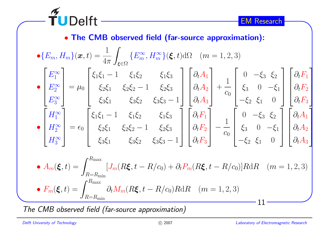0

 $\xi_2$  $\frac{1}{2}$   $\xi_1$ 

0

 $\xi_2$ 2  $\xi_1$ 

−

 $\xi_3 = 0$  – 0

 $\xi_3 = 0$  -0

 $\xi_3$   $\xi_2$ 

 $\xi_3$   $\xi_2$ 

− $\xi_1$ 

0

 $\xi_1$ 

0

 $\sqrt{2}$ 

 $\partial_t F_1 \ \partial_t F_2 \ \partial_t F_3$ 

 $\partial_t A$ 1

 $\partial_t A$ 2

 $\partial_t A$ 

3

 $\overline{\phantom{a}}$ 

 $\sqrt{2}$ 

 $\begin{array}{c} \hline \end{array}$ 

 $\widetilde{\mathbf{T}}$ UDelft • The CMB observed field (far-source approximation):  $\frac{1}{4\pi}\int_{\boldsymbol{\xi}\in\Omega}$ 1 $\bullet \{E_m, H_m$  $\big\{(\boldsymbol{x},t) =% \begin{cases} \boldsymbol{x}, & \text{if } t>0. \end{cases} \big\}$  $\{$  $\frac{1}{m}, H_m^{\infty}$ ∞ $\{\boldsymbol{\xi},t\}$ d $\Omega$  (n  $m = 1, 2, 3$  $\bm E$ • $\,m$  $\,m$  $\sqrt{ }$   $\sqrt{2}$   $\sqrt{2}$   $\sqrt{2}$  $\partial_t A$  $\boldsymbol{E}$ ∞ $\xi_1$  $1\overline{\xi_1}$  $\xi_1 - 1$   $\xi_1 \xi_2$   $\xi_1 \xi_3$ <br>  $\xi_2 \xi_1$   $\xi_2 \xi_2 - 1$   $\xi_2 \xi_3$  $1 \quad \xi_1$ 1 $1\overline{\zeta}_2$ 2  $\xi_1$ 1 11 $\partial_t A$  E $\xi_2 \xi_1$   $\xi_2 \xi_2 - 1$   $\xi_2 \xi_3$ <br>  $\xi_3 \xi_1$   $\xi_3 \xi_2$   $\xi_3 \xi_3 2\zeta_1$ 1  $\xi_2$  $2\zeta_2$ 1  $\xi_2$ ∞1 $\hspace{0.1mm} + \hspace{0.1mm}$ • $\mu$ =0 −2 2 $\mathcal C$  $\begin{array}{c} \end{array}$  $\overline{\phantom{a}}$  $\overline{\phantom{a}}$   $\overline{\phantom{a}}$   $c_0$  $\begin{array}{c} \hline \end{array}$  $\partial_t A$  E1  $\xi_3\xi_2$ 2  $\xi_3\xi_3$ ∞1−3 3  $\sqrt{ }$   $\sqrt{ }$   $\sqrt{2}$   $\sqrt{ }$  $\boldsymbol{H}$  $\xi_1$  $1\overline{\xi_1}$  $\xi_1 - 1$   $\xi_1 \xi_2$   $\xi_1 \xi_3$ <br>  $\xi_2 \xi_1$   $\xi_2 \xi_2 - 1$   $\xi_2 \xi_3$ 1  $\xi_1$  $1\overline{\xi}_2$ 2  $\xi_1$  $\partial_t F_1 \ \partial_t F_2 \ \partial_t F_3$ ∞1 11 $\overline{H}$ ∞ $\xi_2 \xi_1$   $\xi_2 \xi_2 - 1$   $\xi_2 \xi_3$ <br>  $\xi_3 \xi_1$   $\xi_3 \xi_2$   $\xi_3 \xi_3 2\zeta_1$  $\zeta_1$   $\xi_2$  $2\zeta_2$  $1 \quad \xi_2$ 1• $\epsilon$ = $\epsilon_0$  2 $\mathcal C$  $\begin{bmatrix} \phantom{-} \end{bmatrix}$   $\overline{\phantom{a}}$  $\overline{\phantom{0}}$  $\overline{\phantom{a}}$   $\begin{array}{c} \hline \end{array}$  $c_0$  H∞1  $\xi_3\xi_2$ 2  $\xi_3\xi_3$ 13

• 
$$
A_m(\xi, t) = \int_{R=R_{\text{min}}}^{R_{\text{max}}} [J_m(R\xi, t - R/c_0) + \partial_t P_m(R\xi, t - R/c_0)] R dR \quad (m = 1, 2, 3)
$$
  
\n•  $F_m(\xi, t) = \int_{R=R_{\text{min}}}^{R_{\text{max}}} \partial_t M_m(R\xi, t - R/c_0) R dR \quad (m = 1, 2, 3)$ 

The CMB observed field (far-source approximation)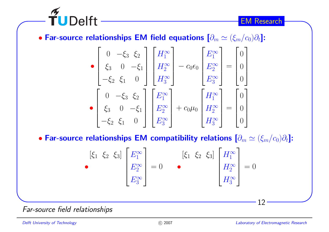

• Far-source relationships EM field equations  $[\partial_m \simeq (\xi_m/c_0) \partial_t]$ :

$$
\begin{bmatrix}\n0 & -\xi_3 & \xi_2 \\
\xi_3 & 0 & -\xi_1 \\
-\xi_2 & \xi_1 & 0\n\end{bmatrix}\n\begin{bmatrix}\nH_1^{\infty} \\
H_2^{\infty} \\
H_3^{\infty}\n\end{bmatrix} - c_0 \epsilon_0\n\begin{bmatrix}\nE_1^{\infty} \\
E_2^{\infty} \\
E_3^{\infty}\n\end{bmatrix} =\n\begin{bmatrix}\n0 \\
0 \\
0\n\end{bmatrix}
$$
\n
$$
\begin{bmatrix}\n0 & -\xi_3 & \xi_2 \\
\xi_3 & 0 & -\xi_1 \\
-\xi_2 & \xi_1 & 0\n\end{bmatrix}\n\begin{bmatrix}\nE_1^{\infty} \\
E_2^{\infty} \\
E_3^{\infty}\n\end{bmatrix} + c_0 \mu_0\n\begin{bmatrix}\nH_1^{\infty} \\
H_2^{\infty} \\
H_3^{\infty}\n\end{bmatrix} =\n\begin{bmatrix}\n0 \\
0 \\
0 \\
0\n\end{bmatrix}
$$

• Far-source relationships EM compatibility relations  $[\partial_m \simeq (\xi_m/c_0) \partial_t]$ :

$$
\begin{bmatrix} \xi_1 & \xi_2 & \xi_3 \end{bmatrix} \begin{bmatrix} E_1^{\infty} \\ E_2^{\infty} \\ E_3^{\infty} \end{bmatrix} = 0 \qquad \bullet \qquad \begin{bmatrix} \xi_1 & \xi_2 & \xi_3 \end{bmatrix} \begin{bmatrix} H_1^{\infty} \\ H_2^{\infty} \\ H_3^{\infty} \end{bmatrix} = 0
$$

Far-source field relationships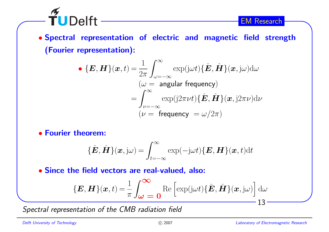• Spectral representation of electric and magnetic field strength(Fourier representation):

• 
$$
\{E, H\}(x, t) = \frac{1}{2\pi} \int_{\omega = -\infty}^{\infty} \exp(j\omega t) \{\hat{E}, \hat{H}\}(x, j\omega) d\omega
$$
  
\n $(\omega = \text{angular frequency})$   
\n $= \int_{\nu = -\infty}^{\infty} \exp(j2\pi\nu t) \{\hat{E}, \hat{H}\}(x, j2\pi\nu) d\nu$   
\n $(\nu = \text{frequency } = \omega/2\pi)$ 

• Fourier theorem:

 $\widetilde{\mathbf{T}}$ UDelft -

$$
\{\hat{\boldsymbol{E}},\hat{\boldsymbol{H}}\}(\boldsymbol{x},\mathrm{j}\omega)=\int_{t=-\infty}^{\infty}\exp(-\mathrm{j}\omega t)\{\boldsymbol{E},\boldsymbol{H}\}(\boldsymbol{x},t)\mathrm{d}t
$$

• Since the field vectors are real-valued, also:

$$
\{\boldsymbol{E}, \boldsymbol{H}\}(\boldsymbol{x},t) = \frac{1}{\pi} \int_{\boldsymbol{\omega}}^{\boldsymbol{\infty}} \operatorname{Re} \left[ \exp(j\omega t) \{ \hat{\boldsymbol{E}}, \hat{\boldsymbol{H}} \}(\boldsymbol{x}, j\omega) \right] d\omega
$$
  
13 -

Spectral representation of the CMB radiation field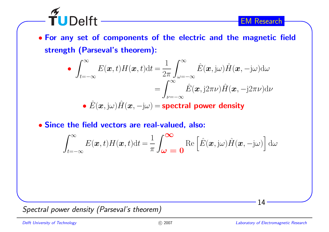• For any set of components of the electric and the magnetic fieldstrength (Parseval's theorem):

• 
$$
\int_{t=-\infty}^{\infty} E(\boldsymbol{x}, t) H(\boldsymbol{x}, t) dt = \frac{1}{2\pi} \int_{\omega=-\infty}^{\infty} \hat{E}(\boldsymbol{x}, j\omega) \hat{H}(\boldsymbol{x}, -j\omega) d\omega
$$

$$
= \int_{\nu=-\infty}^{\infty} \hat{E}(\boldsymbol{x}, j2\pi\nu) \hat{H}(\boldsymbol{x}, -j2\pi\nu) d\nu
$$

•  $E(\boldsymbol{x},\mathrm{j}\omega)H(\boldsymbol{x},-\mathrm{j}\omega)$  = spectral power density

## • Since the field vectors are real-valued, also:

$$
\int_{t=-\infty}^{\infty} E(\boldsymbol{x},t)H(\boldsymbol{x},t)dt = \frac{1}{\pi} \int_{\boldsymbol{\omega}}^{\boldsymbol{\infty}} \operatorname{Re}\left[\hat{E}(\boldsymbol{x},j\omega)\hat{H}(\boldsymbol{x},-j\omega)\right]d\omega
$$

Spectral power density (Parseval's theorem)

 $\widetilde{\mathsf{T}}$ UDelft -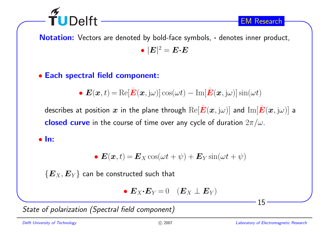

Notation: Vectors are denoted by bold-face symbols, · denotes inner product,  $\bullet$   $|\boldsymbol{E}|^2$   $=$   $\boldsymbol{E}\boldsymbol{\cdot}\boldsymbol{E}$ 

# • Each spectral field component:

• 
$$
\mathbf{E}(\mathbf{x},t) = \text{Re}[\hat{\mathbf{E}}(\mathbf{x},j\omega)]\cos(\omega t) - \text{Im}[\hat{\mathbf{E}}(\mathbf{x},j\omega)]\sin(\omega t)
$$

describes at position  $\bm{x}$  in the plane through  $\text{Re}[\hat{\bm{E}}(\bm{x},\mathrm{j}\omega)]$  and  $\text{Im}[\hat{\bm{E}}(\bm{x},\mathrm{j}\omega)]$  a  $\boldsymbol{\mathsf{closed}}$   $\boldsymbol{\mathsf{curve}}$  in the course of time over any cycle of duration  $2\pi/\omega.$ 

### • In:

• 
$$
\mathbf{E}(\mathbf{x},t) = \mathbf{E}_X \cos(\omega t + \psi) + \mathbf{E}_Y \sin(\omega t + \psi)
$$

 $\{\boldsymbol{E}_X, \boldsymbol{E}_Y\}$  can be constructed such that

• 
$$
\mathbf{E}_X \cdot \mathbf{E}_Y = 0
$$
  $(\mathbf{E}_X \perp \mathbf{E}_Y)$ 

State of polarization (Spectral field component)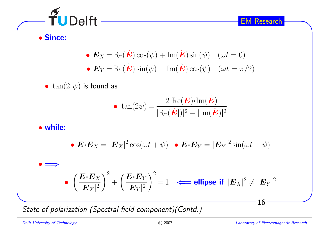$\widetilde{\mathbf{T}}$ UDelft -

EM Research

• Since:

• 
$$
\mathbf{E}_X = \text{Re}(\hat{\mathbf{E}})\cos(\psi) + \text{Im}(\hat{\mathbf{E}})\sin(\psi) \quad (\omega t = 0)
$$
  
\n•  $\mathbf{E}_Y = \text{Re}(\hat{\mathbf{E}})\sin(\psi) - \text{Im}(\hat{\mathbf{E}})\cos(\psi) \quad (\omega t = \pi/2)$ 

 $\bullet\;\tan(2\;\psi)$  is found as

• 
$$
\tan(2\psi) = \frac{2 \text{ Re}(\hat{\boldsymbol{E}}) \cdot \text{Im}(\hat{\boldsymbol{E}})}{|\text{Re}(\hat{\boldsymbol{E}})|^2 - |\text{Im}(\hat{\boldsymbol{E}})|^2}
$$

• while:

• 
$$
\mathbf{E} \cdot \mathbf{E}_X = |\mathbf{E}_X|^2 \cos(\omega t + \psi) \quad \text{• } \mathbf{E} \cdot \mathbf{E}_Y = |\mathbf{E}_Y|^2 \sin(\omega t + \psi)
$$

•<sup>=</sup><sup>⇒</sup>

$$
\bullet \ \left(\frac{\boldsymbol{E} \boldsymbol{\cdot} \boldsymbol{E}_X}{|\boldsymbol{E}_X|^2}\right)^2 + \left(\frac{\boldsymbol{E} \boldsymbol{\cdot} \boldsymbol{E}_Y}{|\boldsymbol{E}_Y|^2}\right)^2 = 1 \ \ \Longleftarrow \text{ellipse if} \ |\boldsymbol{E}_X|^2 \neq |\boldsymbol{E}_Y|^2
$$

State of polarization (Spectral field component)(Contd.)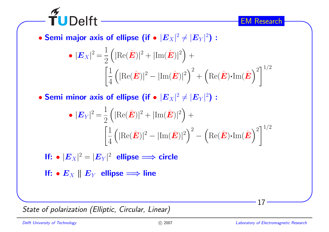

 $\bullet$  Semi major axis of ellipse (if  $\bullet$   $|\boldsymbol{E}_X|^2\neq|\boldsymbol{E}_Y|^2)$  :

$$
\bullet |\mathbf{E}_X|^2 = \frac{1}{2} \left( |\text{Re}(\hat{\mathbf{E}})|^2 + |\text{Im}(\hat{\mathbf{E}})|^2 \right) + \left[ \frac{1}{4} \left( |\text{Re}(\hat{\mathbf{E}})|^2 - |\text{Im}(\hat{\mathbf{E}})|^2 \right)^2 + \left( \text{Re}(\hat{\mathbf{E}}) \cdot \text{Im}(\hat{\mathbf{E}}) \right)^2 \right]^{1/2}
$$

 $\bullet$  Semi minor axis of ellipse (if  $\bullet$   $|\boldsymbol{E}_X|^2\neq|\boldsymbol{E}_Y|^2)$  :

$$
\bullet |\mathbf{E}_{Y}|^{2} = \frac{1}{2} \left( |\text{Re}(\hat{\mathbf{E}})|^{2} + |\text{Im}(\hat{\mathbf{E}})|^{2} \right) + \frac{1}{4} \left( |\text{Re}(\hat{\mathbf{E}})|^{2} - |\text{Im}(\hat{\mathbf{E}})|^{2} \right)^{2} - \left( \text{Re}(\hat{\mathbf{E}}) \cdot \text{Im}(\hat{\mathbf{E}}) \right)^{2} \right)^{1/2}
$$

If: 
$$
\bullet
$$
  $|E_X|^2 = |E_Y|^2$  ellipse  $\Longrightarrow$  circle

If: •  $\bm{E}_X \parallel \bm{E}_Y$  ellipse  $\Longrightarrow$  line

State of polarization (Elliptic, Circular, Linear)